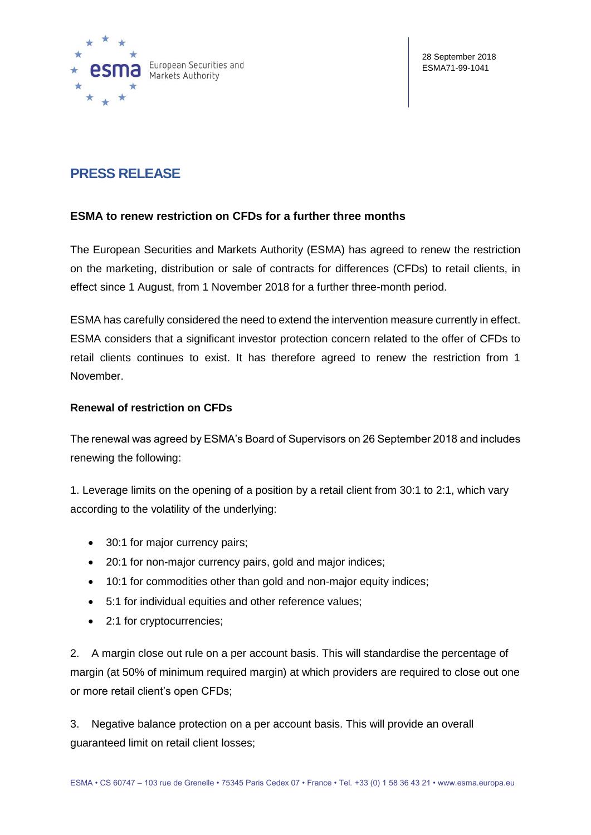

# **PRESS RELEASE**

# **ESMA to renew restriction on CFDs for a further three months**

The European Securities and Markets Authority (ESMA) has agreed to renew the restriction on the marketing, distribution or sale of contracts for differences (CFDs) to retail clients, in effect since 1 August, from 1 November 2018 for a further three-month period.

ESMA has carefully considered the need to extend the intervention measure currently in effect. ESMA considers that a significant investor protection concern related to the offer of CFDs to retail clients continues to exist. It has therefore agreed to renew the restriction from 1 November.

### **Renewal of restriction on CFDs**

The renewal was agreed by ESMA's Board of Supervisors on 26 September 2018 and includes renewing the following:

1. Leverage limits on the opening of a position by a retail client from 30:1 to 2:1, which vary according to the volatility of the underlying:

- 30:1 for major currency pairs;
- 20:1 for non-major currency pairs, gold and major indices;
- 10:1 for commodities other than gold and non-major equity indices;
- 5:1 for individual equities and other reference values;
- 2:1 for cryptocurrencies;

2. A margin close out rule on a per account basis. This will standardise the percentage of margin (at 50% of minimum required margin) at which providers are required to close out one or more retail client's open CFDs;

3. Negative balance protection on a per account basis. This will provide an overall guaranteed limit on retail client losses;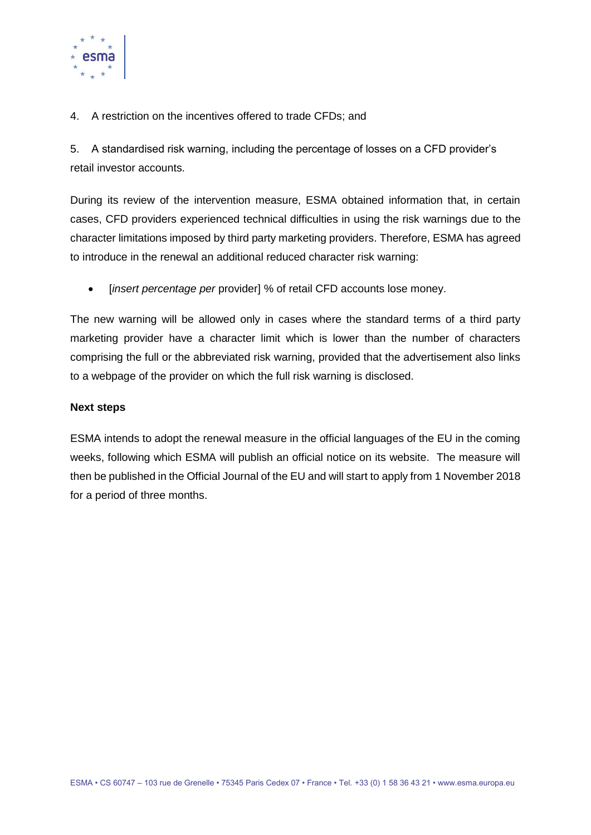

4. A restriction on the incentives offered to trade CFDs; and

5. A standardised risk warning, including the percentage of losses on a CFD provider's retail investor accounts.

During its review of the intervention measure, ESMA obtained information that, in certain cases, CFD providers experienced technical difficulties in using the risk warnings due to the character limitations imposed by third party marketing providers. Therefore, ESMA has agreed to introduce in the renewal an additional reduced character risk warning:

[*insert percentage per* provider] % of retail CFD accounts lose money.

The new warning will be allowed only in cases where the standard terms of a third party marketing provider have a character limit which is lower than the number of characters comprising the full or the abbreviated risk warning, provided that the advertisement also links to a webpage of the provider on which the full risk warning is disclosed.

# **Next steps**

ESMA intends to adopt the renewal measure in the official languages of the EU in the coming weeks, following which ESMA will publish an official notice on its website. The measure will then be published in the Official Journal of the EU and will start to apply from 1 November 2018 for a period of three months.